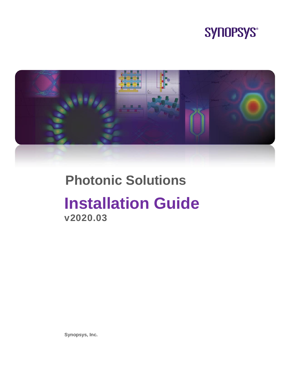



# **Photonic Solutions**

# **Installation Guide v2020.03**

**Synopsys, Inc.**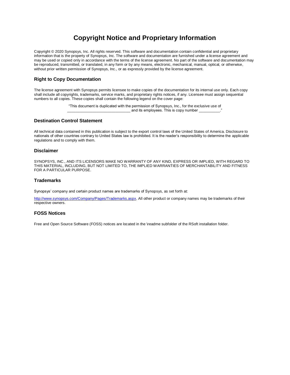### **Copyright Notice and Proprietary Information**

Copyright © 2020 Synopsys, Inc. All rights reserved. This software and documentation contain confidential and proprietary information that is the property of Synopsys, Inc. The software and documentation are furnished under a license agreement and may be used or copied only in accordance with the terms of the license agreement. No part of the software and documentation may be reproduced, transmitted, or translated, in any form or by any means, electronic, mechanical, manual, optical, or otherwise, without prior written permission of Synopsys, Inc., or as expressly provided by the license agreement.

#### **Right to Copy Documentation**

The license agreement with Synopsys permits licensee to make copies of the documentation for its internal use only. Each copy shall include all copyrights, trademarks, service marks, and proprietary rights notices, if any. Licensee must assign sequential numbers to all copies. These copies shall contain the following legend on the cover page:

> "This document is duplicated with the permission of Synopsys, Inc., for the exclusive use of and its employees. This is copy number

#### **Destination Control Statement**

All technical data contained in this publication is subject to the export control laws of the United States of America. Disclosure to nationals of other countries contrary to United States law is prohibited. It is the reader's responsibility to determine the applicable regulations and to comply with them.

#### **Disclaimer**

SYNOPSYS, INC., AND ITS LICENSORS MAKE NO WARRANTY OF ANY KIND, EXPRESS OR IMPLIED, WITH REGARD TO THIS MATERIAL, INCLUDING, BUT NOT LIMITED TO, THE IMPLIED WARRANTIES OF MERCHANTABILITY AND FITNESS FOR A PARTICULAR PURPOSE.

#### **Trademarks**

Synopsys' company and certain product names are trademarks of Synopsys, as set forth at:

[http://www.synopsys.com/Company/Pages/Trademarks.aspx.](http://www.synopsys.com/Company/Pages/Trademarks.aspx) All other product or company names may be trademarks of their respective owners.

#### **FOSS Notices**

Free and Open Source Software (FOSS) notices are located in the \readme subfolder of the RSoft installation folder.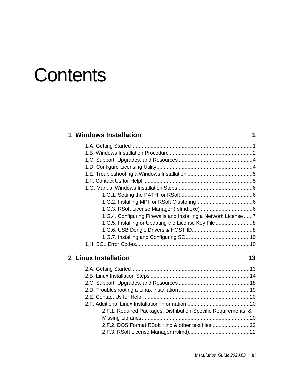# **Contents**

| 1 Windows Installation                                         |  |
|----------------------------------------------------------------|--|
|                                                                |  |
|                                                                |  |
|                                                                |  |
|                                                                |  |
|                                                                |  |
|                                                                |  |
|                                                                |  |
|                                                                |  |
|                                                                |  |
|                                                                |  |
| 1.G.4. Configuring Firewalls and Installing a Network License7 |  |
| 1.G.5. Installing or Updating the License Key File             |  |
|                                                                |  |
|                                                                |  |
|                                                                |  |
|                                                                |  |
|                                                                |  |

## **2 Linux Installation 13**

| o | ×.<br>v |
|---|---------|
|   | ۰.      |

| 2.F.1. Required Packages, Distribution-Specific Requirements, & |  |
|-----------------------------------------------------------------|--|
|                                                                 |  |
| 2.F.2. DOS Format RSoft *.ind & other text files 22             |  |
|                                                                 |  |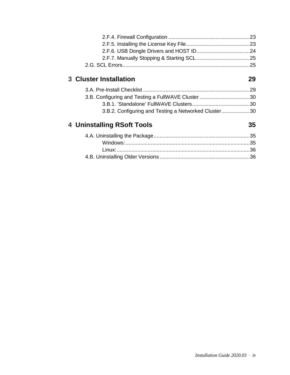| <b>3 Cluster Installation</b>                        | 29 |
|------------------------------------------------------|----|
|                                                      |    |
| 3.B. Configuring and Testing a FullWAVE Cluster 30   |    |
|                                                      |    |
| 3.B.2. Configuring and Testing a Networked Cluster30 |    |
| 4 Uninstalling RSoft Tools                           | 35 |
|                                                      |    |
|                                                      |    |
|                                                      |    |
|                                                      |    |
|                                                      |    |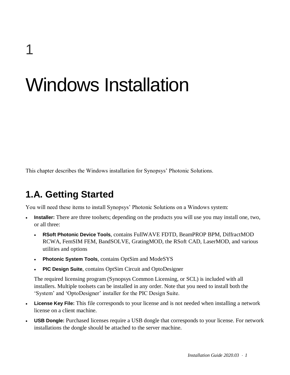# Windows Installation

<span id="page-4-0"></span>This chapter describes the Windows installation for Synopsys' Photonic Solutions.

# **1.A. Getting Started**

You will need these items to install Synopsys' Photonic Solutions on a Windows system:

- **Installer:** There are three toolsets; depending on the products you will use you may install one, two, or all three:
	- **RSoft Photonic Device Tools**, contains FullWAVE FDTD, BeamPROP BPM, DiffractMOD RCWA, FemSIM FEM, BandSOLVE, GratingMOD, the RSoft CAD, LaserMOD, and various utilities and options
	- **Photonic System Tools**, contains OptSim and ModeSYS
	- **PIC Design Suite**, contains OptSim Circuit and OptoDesigner

The required licensing program (Synopsys Common Licensing, or SCL) is included with all installers. Multiple toolsets can be installed in any order. Note that you need to install both the 'System' and 'OptoDesigner' installer for the PIC Design Suite.

- **License Key File:** This file corresponds to your license and is not needed when installing a network license on a client machine.
- **USB Dongle:** Purchased licenses require a USB dongle that corresponds to your license. For network installations the dongle should be attached to the server machine.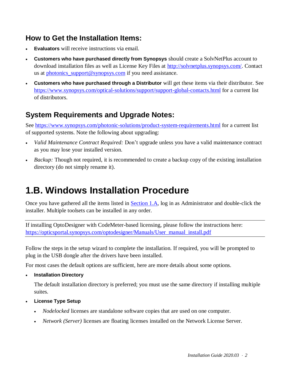# **How to Get the Installation Items:**

- **Evaluators** will receive instructions via email.
- **Customers who have purchased directly from Synopsys** should create a SolvNetPlus account to download installation files as well as License Key Files at [http://solvnetplus.synopsys.com/.](http://solvnetplus.synopsys.com/) Contact us at photonics support@synopsys.com if you need assistance.
- **Customers who have purchased through a Distributor** will get these items via their distributor. See <https://www.synopsys.com/optical-solutions/support/support-global-contacts.html> for a current list of distributors.

# **System Requirements and Upgrade Notes:**

See<https://www.synopsys.com/photonic-solutions/product-system-requirements.html> for a current list of supported systems. Note the following about upgrading:

- *Valid Maintenance Contract Required:* Don't upgrade unless you have a valid maintenance contract as you may lose your installed version.
- *Backup*: Though not required, it is recommended to create a backup copy of the existing installation directory (do not simply rename it).

# **1.B. Windows Installation Procedure**

Once you have gathered all the items listed in **Section 1.A**, log in as Administrator and double-click the installer. Multiple toolsets can be installed in any order.

If installing OptoDesigner with CodeMeter-based licensing, please follow the instructions here: [https://opticsportal.synopsys.com/optodesigner/Manuals/User\\_manual\\_install.pdf](https://opticsportal.synopsys.com/optodesigner/Manuals/User_manual_install.pdf)

Follow the steps in the setup wizard to complete the installation. If required, you will be prompted to plug in the USB dongle after the drivers have been installed.

For most cases the default options are sufficient, here are more details about some options.

**Installation Directory**

The default installation directory is preferred; you must use the same directory if installing multiple suites.

- **License Type Setup**
	- *Nodelocked* licenses are standalone software copies that are used on one computer.
	- *Network (Server)* licenses are floating licenses installed on the Network License Server.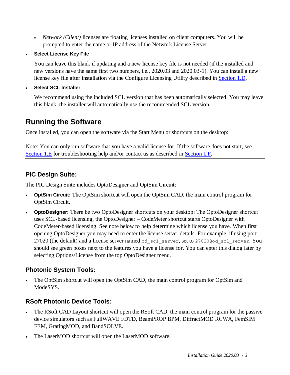- *Network (Client)* licenses are floating licenses installed on client computers. You will be prompted to enter the name or IP address of the Network License Server.
- **Select License Key File**

You can leave this blank if updating and a new license key file is not needed (if the installed and new versions have the same first two numbers, i.e., 2020.03 and 2020.03-1). You can install a new license key file after installation via the Configure Licensing Utility described in [Section 1.D.](#page-7-0)

**Select SCL Installer**

We recommend using the included SCL version that has been automatically selected. You may leave this blank, the installer will automatically use the recommended SCL version.

# **Running the Software**

Once installed, you can open the software via the Start Menu or shortcuts on the desktop:

Note: You can only run software that you have a valid license for. If the software does not start, see [Section 1.E](#page-8-0) for troubleshooting help and/or contact us as described in [Section 1.F.](#page-8-1)

### **PIC Design Suite:**

The PIC Design Suite includes OptoDesigner and OptSim Circuit:

- **OptSim Circuit:** The OptSim shortcut will open the OptSim CAD, the main control program for OptSim Circuit.
- **OptoDesigner:** There be two OptoDesigner shortcuts on your desktop: The OptoDesigner shortcut uses SCL-based licensing, the OptoDesigner – CodeMeter shortcut starts OptoDesigner with CodeMeter-based licensing. See note below to help determine which license you have. When first opening OptoDesigner you may need to enter the license server details. For example, if using port 27020 (the default) and a license server named od scl server, set to 27020@od scl server. You should see green boxes next to the features you have a license for. You can enter this dialog later by selecting Options/License from the top OptoDesigner menu.

### **Photonic System Tools:**

 The OptSim shortcut will open the OptSim CAD, the main control program for OptSim and ModeSYS.

### **RSoft Photonic Device Tools:**

- The RSoft CAD Layout shortcut will open the RSoft CAD, the main control program for the passive device simulators such as FullWAVE FDTD, BeamPROP BPM, DiffractMOD RCWA, FemSIM FEM, GratingMOD, and BandSOLVE.
- The LaserMOD shortcut will open the LaserMOD software.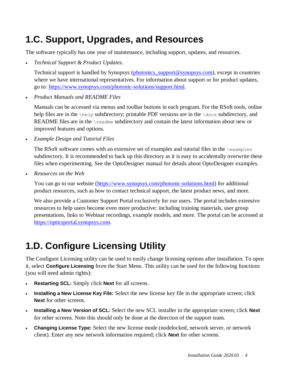# **1.C. Support, Upgrades, and Resources**

The software typically has one year of maintenance, including support, updates, and resources.

*Technical Support & Product Updates.*

Technical support is handled by Synopsys [\(photonics\\_support@synopsys.com\)](mailto:photonics_support@synopsys.com), except in countries where we have international representatives. For information about support or for product updates, go to: [https://www.synopsys.com/photonic-solutions/support.html.](https://www.synopsys.com/photonic-solutions/support.html)

*Product Manuals and README Files*

Manuals can be accessed via menus and toolbar buttons in each program. For the RSoft tools, online help files are in the \help subdirectory; printable PDF versions are in the \docs subdirectory, and README files are in the \readme subdirectory and contain the latest information about new or improved features and options.

*Example Design and Tutorial Files*

The RSoft software comes with an extensive set of examples and tutorial files in the  $\zeta$ subdirectory. It is recommended to back up this directory as it is easy to accidentally overwrite these files when experimenting. See the OptoDesigner manual for details about OptoDesigner examples.

*Resources on the Web*

You can go to our website [\(https://www.synopsys.com/photonic-solutions.html\)](https://www.synopsys.com/photonic-solutions.html) for additional product resources, such as how to contact technical support, the latest product news, and more.

We also provide a Customer Support Portal exclusively for our users. The portal includes extensive resources to help users become even more productive: including training materials, user group presentations, links to Webinar recordings, example models, and more. The portal can be accessed at [https://opticsportal.synopsys.com.](https://opticsportal.synopsys.com/)

# <span id="page-7-0"></span>**1.D. Configure Licensing Utility**

The Configure Licensing utility can be used to easily change licensing options after installation. To open it, select **Configure Licensing** from the Start Menu. This utility can be used for the following functions (you will need admin rights):

- **Restarting SCL:** Simply click **Next** for all screens.
- **Installing a New License Key File:** Select the new license key file in the appropriate screen; click **Next** for other screens.
- **Installing a New Version of SCL:** Select the new SCL installer in the appropriate screen; click **Next** for other screens. Note this should only be done at the direction of the support team.
- **Changing License Type:** Select the new license mode (nodelocked, network server, or network client). Enter any new network information required; click **Next** for other screens.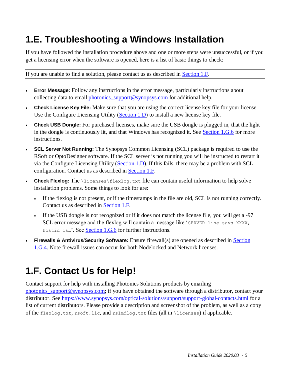# <span id="page-8-0"></span>**1.E. Troubleshooting a Windows Installation**

If you have followed the installation procedure above and one or more steps were unsuccessful, or if you get a licensing error when the software is opened, here is a list of basic things to check:

If you are unable to find a solution, please contact us as described in [Section 1.F.](#page-8-1)

- **Error Message:** Follow any instructions in the error message, particularly instructions about collecting data to email photonics  $\sup$  support@synopsys.com for additional help.
- **Check License Key File:** Make sure that you are using the correct license key file for your license. Use the Configure Licensing Utility [\(Section 1.D\)](#page-7-0) to install a new license key file.
- **Check USB Dongle:** For purchased licenses, make sure the USB dongle is plugged in, that the light in the dongle is continuously lit, and that Windows has recognized it. See [Section 1.G.6](#page-11-0) for more instructions.
- **SCL Server Not Running:** The Synopsys Common Licensing (SCL) package is required to use the RSoft or OptoDesigner software. If the SCL server is not running you will be instructed to restart it via the Configure Licensing Utility [\(Section 1.D\)](#page-7-0). If this fails, there may be a problem with SCL configuration. Contact us as described in [Section 1.F.](#page-8-1)
- **Check Flexlog:** The *licenses* flexlog.txt file can contain useful information to help solve installation problems. Some things to look for are:
	- If the flexlog is not present, or if the timestamps in the file are old, SCL is not running correctly. Contact us as described in [Section 1.F.](#page-8-1)
	- If the USB dongle is not recognized or if it does not match the license file, you will get a -97 SCL error message and the flexlog will contain a message like 'SERVER line says XXXX, hostid is...'. See [Section 1.G.6](#page-11-0) for further instructions.
- **Firewalls & Antivirus/Security Software:** Ensure firewall(s) are opened as described in [Section](#page-10-0)  [1.G.4.](#page-10-0) Note firewall issues can occur for both Nodelocked and Network licenses.

# <span id="page-8-1"></span>**1.F. Contact Us for Help!**

Contact support for help with installing Photonics Solutions products by emailing [photonics\\_support@synopsys.com;](mailto:photonics_support@synopsys.com) if you have obtained the software through a distributor, contact your distributor. See<https://www.synopsys.com/optical-solutions/support/support-global-contacts.html> for a list of current distributors. Please provide a description and screenshot of the problem, as well as a copy of the flexlog.txt, rsoft.lic, and rslmdlog.txt files (all in \licenses) if applicable.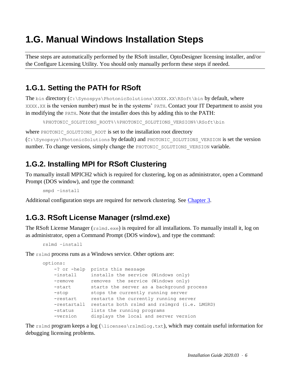# **1.G. Manual Windows Installation Steps**

These steps are automatically performed by the RSoft installer, OptoDesigner licensing installer, and/or the Configure Licensing Utility. You should only manually perform these steps if needed.

# **1.G.1. Setting the PATH for RSoft**

The bin directory  $(C:\Synospys\Phi(solutions\XXXXX)\RSoft\binom{bin}{s}$  of the by default, where XXXX.XX is the version number) must be in the systems' PATH. Contact your IT Department to assist you in modifying the PATH. Note that the installer does this by adding this to the PATH:

```
%PHOTONIC_SOLUTIONS_ROOT%\%PHOTONIC_SOLUTIONS_VERSION%\RSoft\bin
```
where PHOTONIC SOLUTIONS ROOT is set to the installation root directory

(C:\Synopsys\PhotonicSolutions by default) and PHOTONIC\_SOLUTIONS\_VERSION is set the version number. To change versions, simply change the PHOTONIC SOLUTIONS VERSION variable.

# <span id="page-9-0"></span>**1.G.2. Installing MPI for RSoft Clustering**

To manually install MPICH2 which is required for clustering, log on as administrator, open a Command Prompt (DOS window), and type the command:

smpd –install

Additional configuration steps are required for network clustering. See [Chapter 3.](#page-32-0)

# **1.G.3. RSoft License Manager (rslmd.exe)**

The RSoft License Manager (rslmd.exe) is required for all installations. To manually install it, log on as administrator, open a Command Prompt (DOS window), and type the command:

```
rslmd –install
```
The rslmd process runs as a Windows service. Other options are:

```
options:
    -? or -help prints this message
    -install installs the service (Windows only)
   -remove removes the service (Windows only)
-start starts the server as a background process
 -stop stops the currently running server
-restart crestarts the currently running server
   -restartall restarts both rslmd and rslmgrd (i.e. LMGRD)
    -status lists the running programs
    -version displays the local and server version
```
The rslmd program keeps a log (\licenses\rslmdlog.txt), which may contain useful information for debugging licensing problems.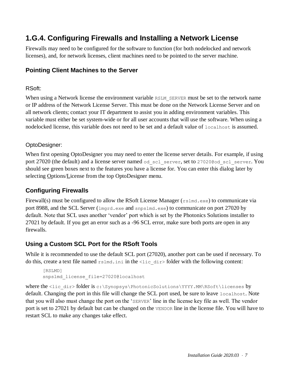# <span id="page-10-0"></span>**1.G.4. Configuring Firewalls and Installing a Network License**

Firewalls may need to be configured for the software to function (for both nodelocked and network licenses), and, for network licenses, client machines need to be pointed to the server machine.

### **Pointing Client Machines to the Server**

#### RSoft:

When using a Network license the environment variable RSLM\_SERVER must be set to the network name or IP address of the Network License Server. This must be done on the Network License Server and on all network clients; contact your IT department to assist you in adding environment variables. This variable must either be set system-wide or for all user accounts that will use the software. When using a nodelocked license, this variable does not need to be set and a default value of localhost is assumed.

#### OptoDesigner:

When first opening OptoDesigner you may need to enter the license server details. For example, if using port 27020 (the default) and a license server named od scl server, set to 27020@od scl server. You should see green boxes next to the features you have a license for. You can enter this dialog later by selecting Options/License from the top OptoDesigner menu.

### **Configuring Firewalls**

Firewall(s) must be configured to allow the RSoft License Manager ( $rslmd.exe$ ) to communicate via port 8988, and the SCL Server (lmgrd.exe and snpslmd.exe) to communicate on port 27020 by default. Note that SCL uses another 'vendor' port which is set by the Photonics Solutions installer to 27021 by default. If you get an error such as a -96 SCL error, make sure both ports are open in any firewalls.

### **Using a Custom SCL Port for the RSoft Tools**

While it is recommended to use the default SCL port (27020), another port can be used if necessary. To do this, create a text file named rslmd.ini in the <lic\_dir> folder with the following content:

```
[RSLMD]
snpslmd_license_file=27020@localhost
```
where the <lic\_dir> folder is c:\Synopsys\PhotonicSolutions\YYYY.MM\RSoft\licenses by default. Changing the port in this file will change the SCL port used, be sure to leave localhost. Note that you will also must change the port on the 'SERVER' line in the license key file as well. The vendor port is set to 27021 by default but can be changed on the VENDOR line in the license file. You will have to restart SCL to make any changes take effect.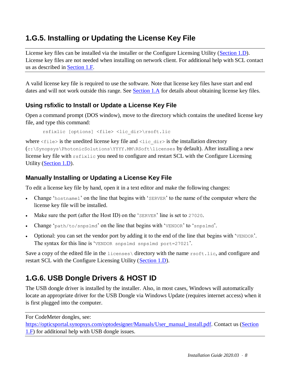# **1.G.5. Installing or Updating the License Key File**

License key files can be installed via the installer or the Configure Licensing Utility [\(Section 1.D\)](#page-7-0). License key files are not needed when installing on network client. For additional help with SCL contact us as described in [Section 1.F.](#page-8-0)

A valid license key file is required to use the software. Note that license key files have start and end dates and will not work outside this range. See [Section 1.A](#page-4-0) for details about obtaining license key files.

### **Using rsfixlic to Install or Update a License Key File**

Open a command prompt (DOS window), move to the directory which contains the unedited license key file, and type this command:

```
rsfixlic [options] <file> <lic_dir>\rsoft.lic
```
where  $\langle$  files is the unedited license key file and  $\langle$ lic dir $\rangle$  is the installation directory (c:\Synopsys\PhotonicSolutions\YYYY.MM\RSoft\licenses by default). After installing a new license key file with rsfixlic you need to configure and restart SCL with the Configure Licensing Utility [\(Section 1.D\)](#page-7-0).

### **Manually Installing or Updating a License Key File**

To edit a license key file by hand, open it in a text editor and make the following changes:

- Change 'hostname1' on the line that begins with 'SERVER' to the name of the computer where the license key file will be installed.
- Make sure the port (after the Host ID) on the 'SERVER' line is set to 27020.
- Change 'path/to/snpslmd' on the line that begins with 'VENDOR' to 'snpslmd'.
- Optional: you can set the vendor port by adding it to the end of the line that begins with 'VENDOR'. The syntax for this line is 'VENDOR snpslmd snpslmd port=27021'.

Save a copy of the edited file in the licenses directory with the name rsoft.lic, and configure and restart SCL with the Configure Licensing Utility [\(Section 1.D\)](#page-7-0).

# <span id="page-11-0"></span>**1.G.6. USB Dongle Drivers & HOST ID**

The USB dongle driver is installed by the installer. Also, in most cases, Windows will automatically locate an appropriate driver for the USB Dongle via Windows Update (requires internet access) when it is first plugged into the computer.

For CodeMeter dongles, see:

[https://opticsportal.synopsys.com/optodesigner/Manuals/User\\_manual\\_install.pdf.](https://opticsportal.synopsys.com/optodesigner/Manuals/User_manual_install.pdf) Contact us [\(Section](#page-8-1)  [1.F\)](#page-8-1) for additional help with USB dongle issues.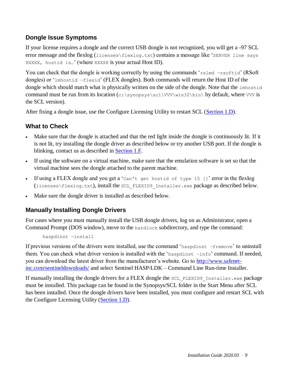### **Dongle Issue Symptoms**

If your license requires a dongle and the correct USB dongle is not recognized, you will get a -97 SCL error message and the flexlog (licenses\flexlog.txt) contains a message like 'SERVER line says XXXXX, hostid is…' (where XXXXX is your actual Host ID).

You can check that the dongle is working correctly by using the commands 'rslmd –rsoftid' (RSoft) dongles) or 'lmhostid –flexid' (FLEX dongles). Both commands will return the Host ID of the dongle which should match what is physically written on the side of the dongle. Note that the lmhostid command must be run from its location (c:\synopsys\scl\VVV\win32\bin\ by default, where VVV is the SCL version).

After fixing a dongle issue, use the Configure Licensing Utility to restart SCL [\(Section 1.D\)](#page-7-0).

### **What to Check**

- Make sure that the dongle is attached and that the red light inside the dongle is continuously lit. If it is not lit, try installing the dongle driver as described below or try another USB port. If the dongle is blinking, contact us as described in [Section 1.F.](#page-8-1)
- If using the software on a virtual machine, make sure that the emulation software is set so that the virtual machine sees the dongle attached to the parent machine.
- If using a FLEX dongle and you get a 'Can't get hostid of type 15  $\lceil$  ' error in the flexlog (licenses\flexlog.txt), install the SCL\_FLEXID9\_Installer.exe package as described below.
- Make sure the dongle driver is installed as described below.

### **Manually Installing Dongle Drivers**

For cases where you must manually install the USB dongle drivers, log on as Administrator, open a Command Prompt (DOS window), move to the hardlock subdirectory, and type the command:

```
haspdinst –install
```
If previous versions of the drivers were installed, use the command 'haspdinst –fremove' to uninstall them. You can check what driver version is installed with the 'haspdinst –info' command. If needed, you can download the latest driver from the manufacturer's website. Go to [http://www.safenet](http://www.safenet-inc.com/sentineldownloads/)[inc.com/sentineldownloads/](http://www.safenet-inc.com/sentineldownloads/) and select Sentinel HASP/LDK – Command Line Run-time Installer.

If manually installing the dongle drivers for a FLEX dongle the SCL\_FLEXID9\_Installer.exe package must be installed. This package can be found in the Synopsys/SCL folder in the Start Menu after SCL has been installed. Once the dongle drivers have been installed, you must configure and restart SCL with the Configure Licensing Utility [\(Section 1.D\)](#page-7-0).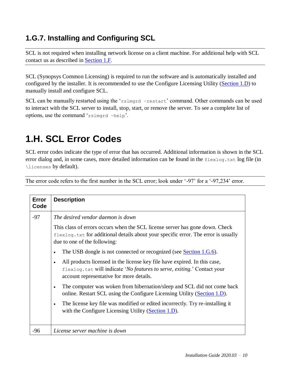# **1.G.7. Installing and Configuring SCL**

SCL is not required when installing network license on a client machine. For additional help with SCL contact us as described in [Section 1.F.](#page-8-0)

SCL (Synopsys Common Licensing) is required to run the software and is automatically installed and configured by the installer. It is recommended to use the Configure Licensing Utility [\(Section 1.D\)](#page-7-0) to manually install and configure SCL.

SCL can be manually restarted using the 'rslmgrd -restart' command. Other commands can be used to interact with the SCL server to install, stop, start, or remove the server. To see a complete list of options, use the command 'rslmgrd –help'.

# **1.H. SCL Error Codes**

SCL error codes indicate the type of error that has occurred. Additional information is shown in the SCL error dialog and, in some cases, more detailed information can be found in the flexlog.txt log file (in \licenses by default).

The error code refers to the first number in the SCL error; look under '-97' for a '-97,234' error.

| Error<br>Code | <b>Description</b>                                                                                                                                                                                                                                                                                                                                                                                                                                                                                                                                                                                                                                                                                                                                                                                               |
|---------------|------------------------------------------------------------------------------------------------------------------------------------------------------------------------------------------------------------------------------------------------------------------------------------------------------------------------------------------------------------------------------------------------------------------------------------------------------------------------------------------------------------------------------------------------------------------------------------------------------------------------------------------------------------------------------------------------------------------------------------------------------------------------------------------------------------------|
| $-97$         | The desired vendor daemon is down<br>This class of errors occurs when the SCL license server has gone down. Check<br>flexlog.txt for additional details about your specific error. The error is usually<br>due to one of the following:<br>The USB dongle is not connected or recognized (see Section 1.G.6).<br>All products licensed in the license key file have expired. In this case,<br>flexlog.txt will indicate 'No features to serve, exiting.' Contact your<br>account representative for more details.<br>The computer was woken from hibernation/sleep and SCL did not come back<br>online. Restart SCL using the Configure Licensing Utility (Section 1.D).<br>The license key file was modified or edited incorrectly. Try re-installing it<br>with the Configure Licensing Utility (Section 1.D). |
| $-96$         | License server machine is down                                                                                                                                                                                                                                                                                                                                                                                                                                                                                                                                                                                                                                                                                                                                                                                   |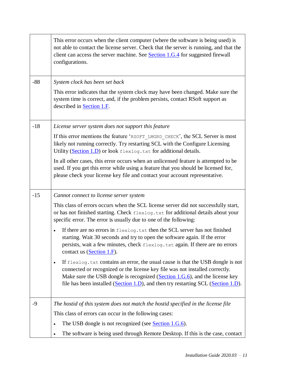|       | This error occurs when the client computer (where the software is being used) is<br>not able to contact the license server. Check that the server is running, and that the<br>client can access the server machine. See Section 1.G.4 for suggested firewall<br>configurations.                                                                                  |
|-------|------------------------------------------------------------------------------------------------------------------------------------------------------------------------------------------------------------------------------------------------------------------------------------------------------------------------------------------------------------------|
| $-88$ | System clock has been set back                                                                                                                                                                                                                                                                                                                                   |
|       | This error indicates that the system clock may have been changed. Make sure the<br>system time is correct, and, if the problem persists, contact RSoft support as<br>described in <b>Section 1.F</b> .                                                                                                                                                           |
| $-18$ | License server system does not support this feature                                                                                                                                                                                                                                                                                                              |
|       | If this error mentions the feature 'RSOFT LMGRD CHECK', the SCL Server is most<br>likely not running correctly. Try restarting SCL with the Configure Licensing<br>Utility (Section 1.D) or look flexlog.txt for additional details.                                                                                                                             |
|       | In all other cases, this error occurs when an unlicensed feature is attempted to be<br>used. If you get this error while using a feature that you should be licensed for,<br>please check your license key file and contact your account representative.                                                                                                         |
| $-15$ | Cannot connect to license server system                                                                                                                                                                                                                                                                                                                          |
|       | This class of errors occurs when the SCL license server did not successfully start,<br>or has not finished starting. Check flexlog.txt for additional details about your<br>specific error. The error is usually due to one of the following:                                                                                                                    |
|       | If there are no errors in flexlog.txt then the SCL server has not finished<br>$\bullet$<br>starting. Wait 30 seconds and try to open the software again. If the error<br>persists, wait a few minutes, check flexlog.txt again. If there are no errors<br>contact us $(Section 1.F)$ .                                                                           |
|       | If $f$ lexlog. txt contains an error, the usual cause is that the USB dongle is not<br>$\bullet$<br>connected or recognized or the license key file was not installed correctly.<br>Make sure the USB dongle is recognized ( $Section 1.G.6$ ), and the license key<br>file has been installed ( $Section 1.D$ ), and then try restarting SCL ( $Section 1.D$ ). |
| $-9$  | The hostid of this system does not match the hostid specified in the license file                                                                                                                                                                                                                                                                                |
|       | This class of errors can occur in the following cases:                                                                                                                                                                                                                                                                                                           |
|       | The USB dongle is not recognized (see Section $1.G.6$ ).<br>$\bullet$                                                                                                                                                                                                                                                                                            |
|       | The software is being used through Remote Desktop. If this is the case, contact<br>$\bullet$                                                                                                                                                                                                                                                                     |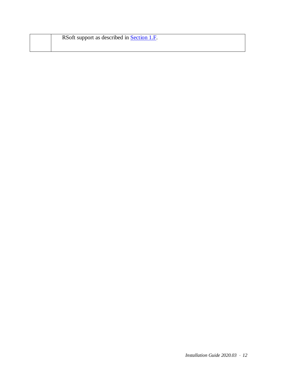| RSoft support as described in <b>Section 1.F</b> . |
|----------------------------------------------------|
|                                                    |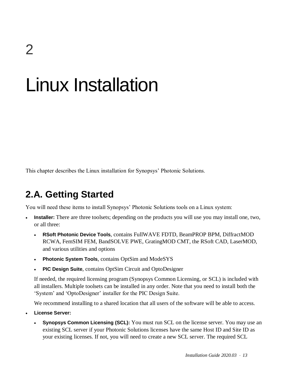# Linux Installation

<span id="page-16-0"></span>This chapter describes the Linux installation for Synopsys' Photonic Solutions.

# **2.A. Getting Started**

You will need these items to install Synopsys' Photonic Solutions tools on a Linux system:

- Installer: There are three toolsets; depending on the products you will use you may install one, two, or all three:
	- **RSoft Photonic Device Tools**, contains FullWAVE FDTD, BeamPROP BPM, DiffractMOD RCWA, FemSIM FEM, BandSOLVE PWE, GratingMOD CMT, the RSoft CAD, LaserMOD, and various utilities and options
	- **Photonic System Tools**, contains OptSim and ModeSYS
	- **PIC Design Suite**, contains OptSim Circuit and OptoDesigner

If needed, the required licensing program (Synopsys Common Licensing, or SCL) is included with all installers. Multiple toolsets can be installed in any order. Note that you need to install both the 'System' and 'OptoDesigner' installer for the PIC Design Suite.

We recommend installing to a shared location that all users of the software will be able to access.

- **License Server:**
	- **Synopsys Common Licensing (SCL):** You must run SCL on the license server. You may use an existing SCL server if your Photonic Solutions licenses have the same Host ID and Site ID as your existing licenses. If not, you will need to create a new SCL server. The required SCL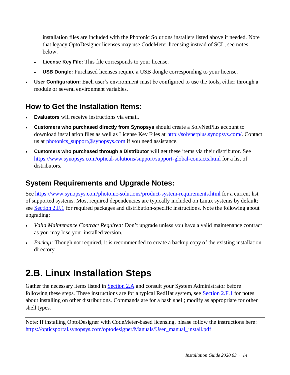installation files are included with the Photonic Solutions installers listed above if needed. Note that legacy OptoDesigner licenses may use CodeMeter licensing instead of SCL, see notes below.

- **License Key File:** This file corresponds to your license.
- **USB Dongle:** Purchased licenses require a USB dongle corresponding to your license.
- **User Configuration:** Each user's environment must be configured to use the tools, either through a module or several environment variables.

## **How to Get the Installation Items:**

- **Evaluators** will receive instructions via email.
- **Customers who purchased directly from Synopsys** should create a SolvNetPlus account to download installation files as well as License Key Files at [http://solvnetplus.synopsys.com/.](http://solvnetplus.synopsys.com/) Contact us at photonics  $support@synopsis.com$  if you need assistance.
- **Customers who purchased through a Distributor** will get these items via their distributor. See <https://www.synopsys.com/optical-solutions/support/support-global-contacts.html> for a list of distributors.

# **System Requirements and Upgrade Notes:**

See<https://www.synopsys.com/photonic-solutions/product-system-requirements.html> for a current list of supported systems. Most required dependencies are typically included on Linux systems by default; see [Section 2.F.1](#page-23-0) for required packages and distribution-specific instructions. Note the following about upgrading:

- *Valid Maintenance Contract Required:* Don't upgrade unless you have a valid maintenance contract as you may lose your installed version.
- *Backup*: Though not required, it is recommended to create a backup copy of the existing installation directory.

# <span id="page-17-0"></span>**2.B. Linux Installation Steps**

Gather the necessary items listed in **Section 2.A** and consult your System Administrator before following these steps. These instructions are for a typical RedHat system, see [Section 2.F.1](#page-23-0) for notes about installing on other distributions. Commands are for a bash shell; modify as appropriate for other shell types.

Note: If installing OptoDesigner with CodeMeter-based licensing, please follow the instructions here: [https://opticsportal.synopsys.com/optodesigner/Manuals/User\\_manual\\_install.pdf](https://opticsportal.synopsys.com/optodesigner/Manuals/User_manual_install.pdf)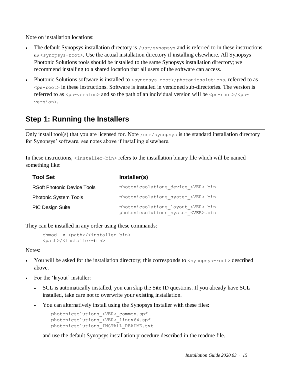Note on installation locations:

- The default Synopsys installation directory is /usr/synopsys and is referred to in these instructions as <synopsys-root>. Use the actual installation directory if installing elsewhere. All Synopsys Photonic Solutions tools should be installed to the same Synopsys installation directory; we recommend installing to a shared location that all users of the software can access.
- Photonic Solutions software is installed to  $\langle$  synopsys-root>/photonicsolutions, referred to as  $\langle$ ps-root> in these instructions. Software is installed in versioned sub-directories. The version is referred to as  $\langle ps-version \rangle$  and so the path of an individual version will be  $\langle ps-root \rangle / \langle ps$ version>.

# **Step 1: Running the Installers**

Only install tool(s) that you are licensed for. Note /usr/synopsys is the standard installation directory for Synopsys' software, see notes above if installing elsewhere.

In these instructions,  $\langle$ installer-bin> refers to the installation binary file which will be named something like:

| <b>Tool Set</b>                    | Installer(s)                                                                          |
|------------------------------------|---------------------------------------------------------------------------------------|
| <b>RSoft Photonic Device Tools</b> | photonicsolutions device <ver>.bin</ver>                                              |
| <b>Photonic System Tools</b>       | photonicsolutions system <ver>.bin</ver>                                              |
| <b>PIC Design Suite</b>            | photonicsolutions layout <ver>.bin<br/>photonicsolutions system <ver>.bin</ver></ver> |

They can be installed in any order using these commands:

```
chmod +x <path>/<installer-bin>
<path>/<installer-bin>
```
Notes:

- You will be asked for the installation directory; this corresponds to  $\langle$ synopsys-root> described above.
- For the 'layout' installer:
	- SCL is automatically installed, you can skip the Site ID questions. If you already have SCL installed, take care not to overwrite your existing installation.
	- You can alternatively install using the Synopsys Installer with these files:

```
photonicsolutions_<VER>_common.spf
photonicsolutions <VER> linux64.spf
photonicsolutions_INSTALL_README.txt
```
and use the default Synopsys installation procedure described in the readme file.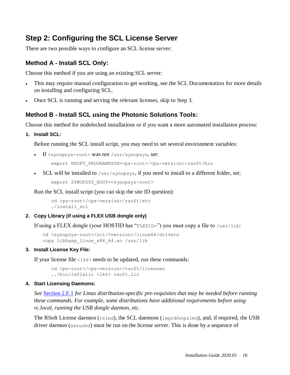# **Step 2: Configuring the SCL License Server**

There are two possible ways to configure an SCL license server:

### **Method A - Install SCL Only:**

Choose this method if you are using an existing SCL server:

- This may require manual configuration to get working, see the SCL Documentation for more details on installing and configuring SCL.
- Once SCL is running and serving the relevant licenses, skip to Step 3.

### **Method B - Install SCL using the Photonic Solutions Tools:**

Choose this method for nodelocked installations or if you want a more automated installation process:

**1. Install SCL:**

Before running the SCL install script, you may need to set several environment variables:

If <synopsys-root> was not /usr/synopsys, set:

export RSOFT PROGRAMPATH=<ps-root>/<ps-version>/rsoft/bin

SCL will be installed to  $/\text{usr/synopsis}$ , if you need to install to a different folder, set: export SYNOPSYS ROOT=<synopsys-root>

Run the SCL install script (you can skip the site ID question):

```
cd <ps-root>/<ps-version>/rsoft/etc
./install_scl
```
#### **2. Copy Library (if using a FLEX USB dongle only)**

If using a FLEX dongle (your HOSTID has "FLEXID=") you must copy a file to  $/\text{usr}/\text{lib}$ :

```
cd <synopsys-root>/scl/<version>/linux64/drivers
copy libhasp_linux_x86_64.so /usr/lib
```
#### **3. Install License Key File:**

If your license file  $\langle 1 \times f \rangle$  needs to be updated, run these commands:

cd <ps-root>/<ps-version>/rsoft/licenses ../bin/rsfixlic <lkf> rsoft.lic

#### **4. Start Licensing Daemons:**

*See* [Section 2.F.1](#page-23-0) *for Linux distribution-specific pre-requisites that may be needed before running these commands. For example, some distributions have additional requirements before using rc.local, running the USB dongle daemon, etc.*

The RSoft License daemon (rslmd), the SCL daemons (lmgrd/snpslmd), and, if required, the USB driver daemon (aksusbd) must be run on the license server. This is done by a sequence of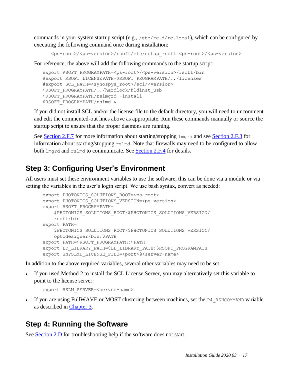commands in your system startup script (e.g.,  $/etc/rc.d/rc.local$ ), which can be configured by executing the following command once during installation:

```
<ps-root>/<ps-version>/rsoft/etc/setup_rsoft <ps-root>/<ps-version>
```
For reference, the above will add the following commands to the startup script:

```
export RSOFT_PROGRAMPATH=<ps-root>/<ps-version>/rsoft/bin
#export RSOFT_LICENSEPATH=$RSOFT_PROGRAMPATH/../licenses
#export SCL_PATH=<synospys_root>/scl/<version>
$RSOFT_PROGRAMPATH/../hardlock/hldinst_usb
$RSOFT_PROGRAMPATH/rslmgrd -install
$RSOFT_PROGRAMPATH/rslmd &
```
If you did not install SCL and/or the license file to the default directory, you will need to uncomment and edit the commented-out lines above as appropriate. Run these commands manually or source the startup script to ensure that the proper daemons are running.

See [Section 2.F.7](#page-28-0) for more information about starting/stopping  $1_{\text{mqrd}}$  and see [Section 2.F.3](#page-25-0) for information about starting/stopping rslmd. Note that firewalls may need to be configured to allow both lmgrd and rslmd to communicate. See [Section 2.F.4](#page-26-0) for details.

# **Step 3: Configuring User's Environment**

All users must set these environment variables to use the software, this can be done via a module or via setting the variables in the user's login script. We use bash syntax, convert as needed:

```
export PHOTONICS SOLUTIONS ROOT=<ps-root>
export PHOTONICS SOLUTIONS VERSION=<ps-version>
export RSOFT_PROGRAMPATH=
     $PHOTONICS_SOLUTIONS_ROOT/$PHOTONICS_SOLUTIONS_VERSION/
    rsoft/bin
export PATH=
     $PHOTONICS_SOLUTIONS_ROOT/$PHOTONICS_SOLUTIONS_VERSION/
     optodesigner/bin:$PATH
export PATH=$RSOFT_PROGRAMPATH:$PATH
export LD_LIBRARY_PATH=$LD_LIBRARY_PATH:$RSOFT_PROGRAMPATH
export SNPSLMD LICENSE FILE=<port>@<server-name>
```
In addition to the above required variables, several other variables may need to be set:

 If you used Method 2 to install the SCL License Server, you may alternatively set this variable to point to the license server:

```
export RSLM SERVER=<server-name>
```
If you are using FullWAVE or MOST clustering between machines, set the P4\_RSHCOMMAND variable as described in [Chapter 3.](#page-32-0)

## **Step 4: Running the Software**

See [Section 2.D](#page-22-0) for troubleshooting help if the software does not start.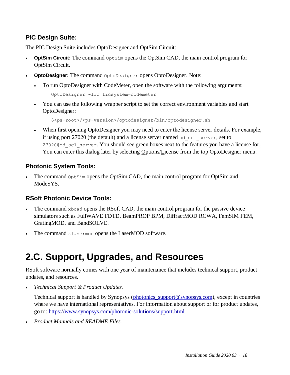### **PIC Design Suite:**

The PIC Design Suite includes OptoDesigner and OptSim Circuit:

- **OptSim Circuit:** The command  $\circ$ ptSim opens the OptSim CAD, the main control program for OptSim Circuit.
- **OptoDesigner:** The command OptoDesigner opens OptoDesigner. Note:
	- To run OptoDesigner with CodeMeter, open the software with the following arguments:

OptoDesigner -lic licsystem=codemeter

 You can use the following wrapper script to set the correct environment variables and start OptoDesigner:

\$<ps-root>/<ps-version>/optodesigner/bin/optodesigner.sh

 When first opening OptoDesigner you may need to enter the license server details. For example, if using port 27020 (the default) and a license server named od\_scl\_server, set to 27020@od scl server. You should see green boxes next to the features you have a license for. You can enter this dialog later by selecting Options/License from the top OptoDesigner menu.

#### **Photonic System Tools:**

The command  $\Phi$ <sub>ptSim</sub> opens the OptSim CAD, the main control program for OptSim and ModeSYS.

### **RSoft Photonic Device Tools:**

- The command  $x$ bcad opens the RSoft CAD, the main control program for the passive device simulators such as FullWAVE FDTD, BeamPROP BPM, DiffractMOD RCWA, FemSIM FEM, GratingMOD, and BandSOLVE.
- The command xlasermod opens the LaserMOD software.

# **2.C. Support, Upgrades, and Resources**

RSoft software normally comes with one year of maintenance that includes technical support, product updates, and resources.

*Technical Support & Product Updates.*

Technical support is handled by Synopsys [\(photonics\\_support@synopsys.com\)](mailto:photonics_support@synopsys.com), except in countries where we have international representatives. For information about support or for product updates, go to: [https://www.synopsys.com/photonic-solutions/support.html.](https://www.synopsys.com/photonic-solutions/support.html)

*Product Manuals and README Files*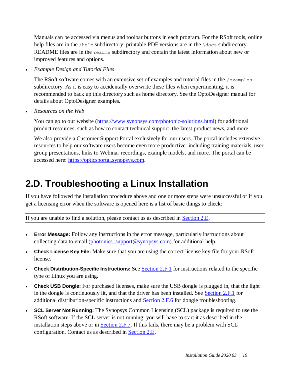Manuals can be accessed via menus and toolbar buttons in each program. For the RSoft tools, online help files are in the  $/$ help subdirectory; printable PDF versions are in the  $\ldots$  subdirectory. README files are in the readme subdirectory and contain the latest information about new or improved features and options.

*Example Design and Tutorial Files*

The RSoft software comes with an extensive set of examples and tutorial files in the  $/$ examples subdirectory. As it is easy to accidentally overwrite these files when experimenting, it is recommended to back up this directory such as home directory. See the OptoDesigner manual for details about OptoDesigner examples.

*Resources on the Web*

You can go to our website [\(https://www.synopsys.com/photonic-solutions.html\)](https://www.synopsys.com/photonic-solutions.html) for additional product resources, such as how to contact technical support, the latest product news, and more.

We also provide a Customer Support Portal exclusively for our users. The portal includes extensive resources to help our software users become even more productive: including training materials, user group presentations, links to Webinar recordings, example models, and more. The portal can be accessed here: [https://opticsportal.synopsys.com.](https://opticsportal.synopsys.com/)

# <span id="page-22-0"></span>**2.D. Troubleshooting a Linux Installation**

If you have followed the installation procedure above and one or more steps were unsuccessful or if you get a licensing error when the software is opened here is a list of basic things to check:

If you are unable to find a solution, please contact us as described in [Section 2.E.](#page-23-1)

- **Error Message:** Follow any instructions in the error message, particularly instructions about collecting data to email [\(photonics\\_support@synopsys.com\)](mailto:photonics_support@synopsys.com) for additional help.
- **Check License Key File:** Make sure that you are using the correct license key file for your RSoft license.
- **Check Distribution-Specific Instructions:** See [Section 2.F.1](#page-23-0) for instructions related to the specific type of Linux you are using.
- **Check USB Dongle:** For purchased licenses, make sure the USB dongle is plugged in, that the light in the dongle is continuously lit, and that the driver has been installed. See [Section 2.F.1](#page-23-0) for additional distribution-specific instructions and [Section 2.F.6](#page-27-0) for dongle troubleshooting.
- **SCL Server Not Running:** The Synopsys Common Licensing (SCL) package is required to use the RSoft software. If the SCL server is not running, you will have to start it as described in the installation steps above or in **Section 2.F.7.** If this fails, there may be a problem with SCL configuration. Contact us as described in [Section 2.E.](#page-23-1)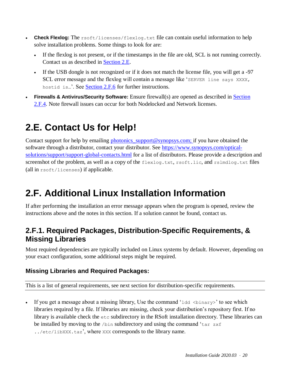- Check Flexlog: The rsoft/licenses/flexlog.txt file can contain useful information to help solve installation problems. Some things to look for are:
	- If the flexlog is not present, or if the timestamps in the file are old, SCL is not running correctly. Contact us as described in [Section 2.E.](#page-23-1)
	- If the USB dongle is not recognized or if it does not match the license file, you will get a -97 SCL error message and the flexlog will contain a message like 'SERVER line says XXXX, hostid is...'. See [Section 2.F.6](#page-27-0) for further instructions.
- **Firewalls & Antivirus/Security Software:** Ensure firewall(s) are opened as described in [Section](#page-26-0)  [2.F.4.](#page-26-0) Note firewall issues can occur for both Nodelocked and Network licenses.

# <span id="page-23-1"></span>**2.E. Contact Us for Help!**

Contact support for help by emailing photonics support@synopsys.com; if you have obtained the software through a distributor, contact your distributor. See [https://www.synopsys.com/optical](https://www.synopsys.com/optical-solutions/support/support-global-contacts.html)[solutions/support/support-global-contacts.html](https://www.synopsys.com/optical-solutions/support/support-global-contacts.html) for a list of distributors. Please provide a description and screenshot of the problem, as well as a copy of the flexlog.txt, rsoft.lic, and rslmdlog.txt files (all in rsoft/licenses) if applicable.

# **2.F. Additional Linux Installation Information**

If after performing the installation an error message appears when the program is opened, review the instructions above and the notes in this section. If a solution cannot be found, contact us.

# <span id="page-23-0"></span>**2.F.1. Required Packages, Distribution-Specific Requirements, & Missing Libraries**

Most required dependencies are typically included on Linux systems by default. However, depending on your exact configuration, some additional steps might be required.

### **Missing Libraries and Required Packages:**

This is a list of general requirements, see next section for distribution-specific requirements.

If you get a message about a missing library, Use the command 'ldd  $\langle$ binary>' to see which libraries required by a file. If libraries are missing, check your distribution's repository first. If no library is available check the etc subdirectory in the RSoft installation directory. These libraries can be installed by moving to the /bin subdirectory and using the command 'tar zxf  $\ldots$ /etc/libXXX.taz', where XXX corresponds to the library name.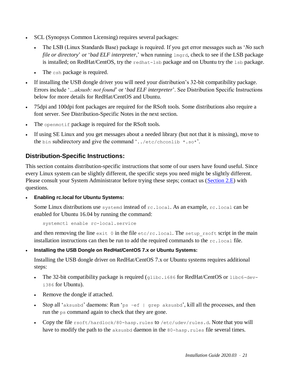- SCL (Synopsys Common Licensing) requires several packages:
	- The LSB (Linux Standards Base) package is required. If you get error messages such as '*No such file or directory*' or '*bad ELF interpreter*,' when running lmgrd, check to see if the LSB package is installed; on RedHat/CentOS, try the redhat-lsb package and on Ubuntu try the lsb package.
	- The csh package is required.
- If installing the USB dongle driver you will need your distribution's 32-bit compatibility package. Errors include '*…aksusb: not found*' or '*bad ELF interpreter*'. See Distribution Specific Instructions below for more details for RedHat/CentOS and Ubuntu.
- 75dpi and 100dpi font packages are required for the RSoft tools. Some distributions also require a font server. See Distribution-Specific Notes in the next section.
- The openmotif package is required for the RSoft tools.
- If using SE Linux and you get messages about a needed library (but not that it is missing), move to the bin subdirectory and give the command '../etc/chconlib  $\star$ .so $\star$ '.

#### **Distribution-Specific Instructions:**

This section contains distribution-specific instructions that some of our users have found useful. Since every Linux system can be slightly different, the specific steps you need might be slightly different. Please consult your System Administrator before trying these steps; contact us [\(Section 2.E\)](#page-23-1) with questions.

**Enabling rc.local for Ubuntu Systems:**

Some Linux distributions use systemd instead of rc.local. As an example, rc.local can be enabled for Ubuntu 16.04 by running the command:

```
systemctl enable rc-local.service
```
and then removing the line exit  $0$  in the file etc/rc.local. The setup\_rsoft script in the main installation instructions can then be run to add the required commands to the rc.local file.

**Installing the USB Dongle on RedHat/CentOS 7.x or Ubuntu Systems:**

Installing the USB dongle driver on RedHat/CentOS 7.x or Ubuntu systems requires additional steps:

- The 32-bit compatibility package is required (glibc.i686 for RedHat/CentOS or libc6-devi386 for Ubuntu).
- Remove the dongle if attached.
- Stop all 'aksusbd' daemons: Run 'ps –ef | grep aksusbd', kill all the processes, and then run the ps command again to check that they are gone.
- Copy the file rsoft/hardlock/80-hasp.rules to /etc/udev/rules.d. Note that you will have to modify the path to the aksusbd daemon in the 80-hasp. rules file several times.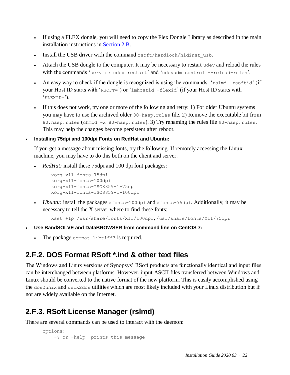- If using a FLEX dongle, you will need to copy the Flex Dongle Library as described in the main installation instructions in [Section 2.B.](#page-17-0)
- Install the USB driver with the command rsoft/hardlock/hldinst usb.
- Attach the USB dongle to the computer. It may be necessary to restart udev and reload the rules with the commands 'service udev restart' and 'udevadm control –-reload-rules'.
- An easy way to check if the dongle is recognized is using the commands: 'rslmd -rsoftid' (if your Host ID starts with 'RSOFT=') or 'lmhostid -flexid' (if your Host ID starts with 'FLEXID=').
- If this does not work, try one or more of the following and retry: 1) For older Ubuntu systems you may have to use the archived older 80-hasp.rules file. 2) Remove the executable bit from 80.hasp.rules (chmod –x 80-hasp.rules). 3) Try renaming the rules file 90-hasp.rules. This may help the changes become persistent after reboot.

#### **Installing 75dpi and 100dpi Fonts on RedHat and Ubuntu:**

If you get a message about missing fonts, try the following. If remotely accessing the Linux machine, you may have to do this both on the client and server.

• *RedHat:* install these 75dpi and 100 dpi font packages:

```
xorg-x11-fonts-75dpi
xorg-x11-fonts-100dpi
xorg-x11-fonts-ISO8859-1-75dpi
xorg-x11-fonts-ISO8859-1-100dpi
```
• *Ubuntu:* install the packages xfonts-100dpi and xfonts-75dpi. Additionally, it may be necessary to tell the X server where to find these fonts:

```
xset +fp /usr/share/fonts/X11/100dpi,/usr/share/fonts/X11/75dpi
```
- **Use BandSOLVE and DataBROWSER from command line on CentOS 7:**
	- The package compat-libtiff3 is required.

# **2.F.2. DOS Format RSoft \*.ind & other text files**

The Windows and Linux versions of Synopsys' RSoft products are functionally identical and input files can be interchanged between platforms. However, input ASCII files transferred between Windows and Linux should be converted to the native format of the new platform. This is easily accomplished using the dos2unix and unix2dos utilities which are most likely included with your Linux distribution but if not are widely available on the Internet.

# <span id="page-25-0"></span>**2.F.3. RSoft License Manager (rslmd)**

There are several commands can be used to interact with the daemon:

```
options:
    -? or -help prints this message
```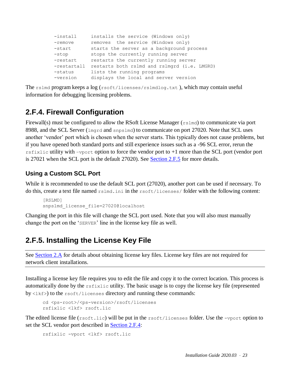| $-$ install | installs the service (Windows only)          |
|-------------|----------------------------------------------|
| $-$ remove  | removes the service (Windows only)           |
| -start      | starts the server as a background process    |
| $-stop$     | stops the currently running server           |
| -restart    | restarts the currently running server        |
| -restartall | restarts both rslmd and rslmgrd (i.e. LMGRD) |
| -status     | lists the running programs                   |
| -version    | displays the local and server version        |

The  $r$ slmd program keeps a  $log(rsoft/licenses/rslmdlog.txt)$ , which may contain useful information for debugging licensing problems.

## <span id="page-26-0"></span>**2.F.4. Firewall Configuration**

Firewall(s) must be configured to allow the RSoft License Manager (rslmd) to communicate via port 8988, and the SCL Server ( $1$ mgrd and snps $1$ md) to communicate on port 27020. Note that SCL uses another 'vendor' port which is chosen when the server starts. This typically does not cause problems, but if you have opened both standard ports and still experience issues such as a -96 SCL error, rerun the rsfixlic utility with –vport option to force the vendor port to  $+1$  more than the SCL port (vendor port is 27021 when the SCL port is the default 27020). See [Section 2.F.5](#page-26-1) for more details.

### **Using a Custom SCL Port**

While it is recommended to use the default SCL port (27020), another port can be used if necessary. To do this, create a text file named rslmd.ini in the rsoft/licenses/ folder with the following content:

```
[RSLMD]
snpslmd_license_file=27020@localhost
```
Changing the port in this file will change the SCL port used. Note that you will also must manually change the port on the 'SERVER' line in the license key file as well.

# <span id="page-26-1"></span>**2.F.5. Installing the License Key File**

See [Section 2.A](#page-16-0) for details about obtaining license key files. License key files are not required for network client installations.

Installing a license key file requires you to edit the file and copy it to the correct location. This process is automatically done by the rsfixlic utility. The basic usage is to copy the license key file (represented  $by <1 **kf**$ ) to the rsoft/licenses directory and running these commands:

```
cd <ps-root>/<ps-version>/rsoft/licenses
rsfixlic <lkf> rsoft.lic
```
The edited license file (rsoft.lic) will be put in the rsoft/licenses folder. Use the -vport option to set the SCL vendor port described in **Section 2.F.4:** 

```
rsfixlic -vport <lkf> rsoft.lic
```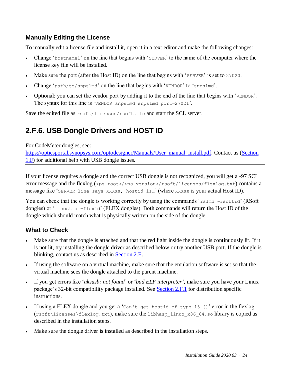#### **Manually Editing the License**

To manually edit a license file and install it, open it in a text editor and make the following changes:

- Change 'hostname1' on the line that begins with 'SERVER' to the name of the computer where the license key file will be installed.
- Make sure the port (after the Host ID) on the line that begins with 'SERVER' is set to 27020.
- Change 'path/to/snpslmd' on the line that begins with 'VENDOR' to 'snpslmd'.
- Optional: you can set the vendor port by adding it to the end of the line that begins with 'VENDOR'. The syntax for this line is 'VENDOR snpslmd snpslmd port=27021'.

<span id="page-27-0"></span>Save the edited file as rsoft/licenses/rsoft.lic and start the SCL server.

# **2.F.6. USB Dongle Drivers and HOST ID**

For CodeMeter dongles, see: [https://opticsportal.synopsys.com/optodesigner/Manuals/User\\_manual\\_install.pdf.](https://opticsportal.synopsys.com/optodesigner/Manuals/User_manual_install.pdf) Contact us [\(Section](#page-8-1)  [1.F\)](#page-8-1) for additional help with USB dongle issues.

If your license requires a dongle and the correct USB dongle is not recognized, you will get a -97 SCL error message and the flexlog  $(\langle ps-root\rangle/\langle ps-version\rangle/rsoft/licenses/flexlog.txt)$  contains a message like 'SERVER line says XXXXX, hostid is…' (where XXXXX is your actual Host ID).

You can check that the dongle is working correctly by using the commands 'rslmd –rsoftid' (RSoft) dongles) or 'lmhostid –flexid' (FLEX dongles). Both commands will return the Host ID of the dongle which should match what is physically written on the side of the dongle.

### **What to Check**

- Make sure that the dongle is attached and that the red light inside the dongle is continuously lit. If it is not lit, try installing the dongle driver as described below or try another USB port. If the dongle is blinking, contact us as described in [Section 2.E.](#page-23-1)
- If using the software on a virtual machine, make sure that the emulation software is set so that the virtual machine sees the dongle attached to the parent machine.
- If you get errors like '*aksusb: not found*' or '*bad ELF interpreter'*, make sure you have your Linux package's 32-bit compatibility package installed. See [Section 2.F.1](#page-23-0) for distribution specific instructions.
- If using a FLEX dongle and you get a 'Can't get hostid of type 15 []' error in the flexlog (rsoft\licenses\flexlog.txt), make sure the libhasp\_linux\_x86\_64.so library is copied as described in the installation steps.
- Make sure the dongle driver is installed as described in the installation steps.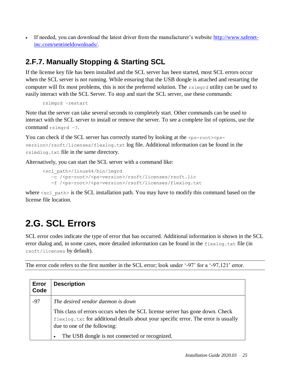If needed, you can download the latest driver from the manufacturer's website [http://www.safenet](http://www.safenet-inc.com/sentineldownloads/)[inc.com/sentineldownloads/.](http://www.safenet-inc.com/sentineldownloads/)

# <span id="page-28-0"></span>**2.F.7. Manually Stopping & Starting SCL**

If the license key file has been installed and the SCL server has been started, most SCL errors occur when the SCL server is not running. While ensuring that the USB dongle is attached and restarting the computer will fix most problems, this is not the preferred solution. The rslmgrd utility can be used to easily interact with the SCL Server. To stop and start the SCL server, use these commands:

```
rslmgrd –restart
```
Note that the server can take several seconds to completely start. Other commands can be used to interact with the SCL server to install or remove the server. To see a complete list of options, use the command rslmgrd -?.

You can check if the SCL server has correctly started by looking at the  $\langle ps\text{-}root \rangle \langle ps\text{-}$ version>/rsoft/licenses/flexlog.txt log file. Additional information can be found in the rslmdlog.txt file in the same directory.

Alternatively, you can start the SCL server with a command like:

```
<scl_path>/linux64/bin/lmgrd 
    –c /<ps-root>/<ps-version>/rsoft/licenses/rsoft.lic
    -f /<ps-root>/<ps-version>/rsoft/licenses/flexlog.txt
```
where  $\leq$ scl path> is the SCL installation path. You may have to modify this command based on the license file location.

# **2.G. SCL Errors**

SCL error codes indicate the type of error that has occurred. Additional information is shown in the SCL error dialog and, in some cases, more detailed information can be found in the  $flexLog.txt$  file (in rsoft/licenses by default).

The error code refers to the first number in the SCL error; look under '-97' for a '-97,121' error.

| Error<br>Code | <b>Description</b>                                                                                                                                                                                 |
|---------------|----------------------------------------------------------------------------------------------------------------------------------------------------------------------------------------------------|
| $-97$         | The desired vendor daemon is down                                                                                                                                                                  |
|               | This class of errors occurs when the SCL license server has gone down. Check<br>flexlog.txt for additional details about your specific error. The error is usually<br>due to one of the following: |
|               | The USB dongle is not connected or recognized.                                                                                                                                                     |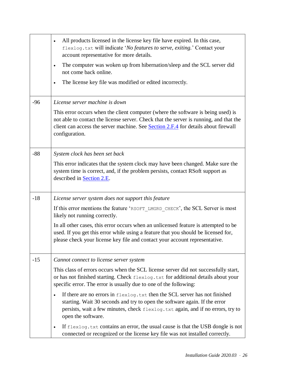|       | All products licensed in the license key file have expired. In this case,<br>$\bullet$<br>flexlog.txt will indicate 'No features to serve, exiting.' Contact your<br>account representative for more details.                                                                      |
|-------|------------------------------------------------------------------------------------------------------------------------------------------------------------------------------------------------------------------------------------------------------------------------------------|
|       | The computer was woken up from hibernation/sleep and the SCL server did<br>$\bullet$<br>not come back online.                                                                                                                                                                      |
|       | The license key file was modified or edited incorrectly.<br>٠                                                                                                                                                                                                                      |
| $-96$ | License server machine is down                                                                                                                                                                                                                                                     |
|       | This error occurs when the client computer (where the software is being used) is<br>not able to contact the license server. Check that the server is running, and that the<br>client can access the server machine. See Section 2.F.4 for details about firewall<br>configuration. |
| $-88$ | System clock has been set back                                                                                                                                                                                                                                                     |
|       | This error indicates that the system clock may have been changed. Make sure the<br>system time is correct, and, if the problem persists, contact RSoft support as<br>described in Section 2.E.                                                                                     |
| $-18$ | License server system does not support this feature                                                                                                                                                                                                                                |
|       | If this error mentions the feature 'RSOFT_LMGRD_CHECK', the SCL Server is most<br>likely not running correctly.                                                                                                                                                                    |
|       | In all other cases, this error occurs when an unlicensed feature is attempted to be<br>used. If you get this error while using a feature that you should be licensed for,<br>please check your license key file and contact your account representative.                           |
| $-15$ | Cannot connect to license server system                                                                                                                                                                                                                                            |
|       | This class of errors occurs when the SCL license server did not successfully start,<br>or has not finished starting. Check flexlog.txt for additional details about your<br>specific error. The error is usually due to one of the following:                                      |
|       | If there are no errors in flexlog. txt then the SCL server has not finished<br>$\bullet$<br>starting. Wait 30 seconds and try to open the software again. If the error<br>persists, wait a few minutes, check flexlog.txt again, and if no errors, try to<br>open the software.    |
|       | If flexlog. txt contains an error, the usual cause is that the USB dongle is not<br>$\bullet$<br>connected or recognized or the license key file was not installed correctly.                                                                                                      |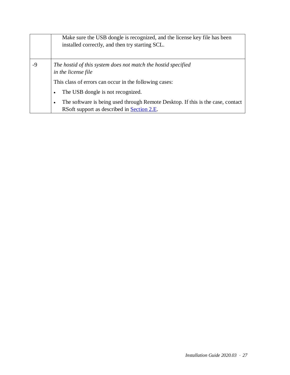|    | Make sure the USB dongle is recognized, and the license key file has been<br>installed correctly, and then try starting SCL.               |
|----|--------------------------------------------------------------------------------------------------------------------------------------------|
| -9 | The hostid of this system does not match the hostid specified<br>in the license file                                                       |
|    | This class of errors can occur in the following cases:                                                                                     |
|    | The USB dongle is not recognized.<br>$\bullet$                                                                                             |
|    | The software is being used through Remote Desktop. If this is the case, contact<br>$\bullet$<br>RSoft support as described in Section 2.E. |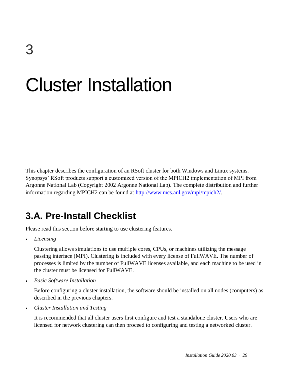# <span id="page-32-0"></span>Cluster Installation

This chapter describes the configuration of an RSoft cluster for both Windows and Linux systems. Synopsys' RSoft products support a customized version of the MPICH2 implementation of MPI from Argonne National Lab (Copyright 2002 Argonne National Lab). The complete distribution and further information regarding MPICH2 can be found at [http://www.mcs.anl.gov/mpi/mpich2/.](http://www.mcs.anl.gov/mpi/mpich2/)

# **3.A. Pre-Install Checklist**

Please read this section before starting to use clustering features.

*Licensing*

Clustering allows simulations to use multiple cores, CPUs, or machines utilizing the message passing interface (MPI). Clustering is included with every license of FullWAVE. The number of processes is limited by the number of FullWAVE licenses available, and each machine to be used in the cluster must be licensed for FullWAVE.

*Basic Software Installation*

Before configuring a cluster installation, the software should be installed on all nodes (computers) as described in the previous chapters.

*Cluster Installation and Testing*

It is recommended that all cluster users first configure and test a standalone cluster. Users who are licensed for network clustering can then proceed to configuring and testing a networked cluster.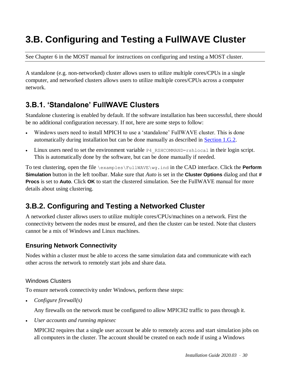# **3.B. Configuring and Testing a FullWAVE Cluster**

See Chapter 6 in the MOST manual for instructions on configuring and testing a MOST cluster.

A standalone (e.g. non-networked) cluster allows users to utilize multiple cores/CPUs in a single computer, and networked clusters allows users to utilize multiple cores/CPUs across a computer network.

# **3.B.1. 'Standalone' FullWAVE Clusters**

Standalone clustering is enabled by default. If the software installation has been successful, there should be no additional configuration necessary. If not, here are some steps to follow:

- Windows users need to install MPICH to use a 'standalone' FullWAVE cluster. This is done automatically during installation but can be done manually as described in [Section 1.G.2.](#page-9-0)
- Linux users need to set the environment variable  $P4$  RSHCOMMAND=rshlocal in their login script. This is automatically done by the software, but can be done manually if needed.

To test clustering, open the file \examples\FullWAVE\wg.ind in the CAD interface. Click the **Perform Simulation** button in the left toolbar. Make sure that *Auto* is set in the **Cluster Options** dialog and that **# Procs** is set to **Auto**. Click **OK** to start the clustered simulation. See the FullWAVE manual for more details about using clustering.

# **3.B.2. Configuring and Testing a Networked Cluster**

A networked cluster allows users to utilize multiple cores/CPUs/machines on a network. First the connectivity between the nodes must be ensured, and then the cluster can be tested. Note that clusters cannot be a mix of Windows and Linux machines.

### **Ensuring Network Connectivity**

Nodes within a cluster must be able to access the same simulation data and communicate with each other across the network to remotely start jobs and share data.

#### Windows Clusters

To ensure network connectivity under Windows, perform these steps:

*Configure firewall(s)*

Any firewalls on the network must be configured to allow MPICH2 traffic to pass through it.

*User accounts and running mpiexec*

MPICH2 requires that a single user account be able to remotely access and start simulation jobs on all computers in the cluster. The account should be created on each node if using a Windows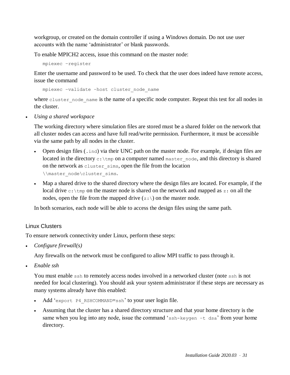workgroup, or created on the domain controller if using a Windows domain. Do not use user accounts with the name 'administrator' or blank passwords.

To enable MPICH2 access, issue this command on the master node:

mpiexec –register

Enter the username and password to be used. To check that the user does indeed have remote access, issue the command

mpiexec –validate –host cluster\_node\_name

where cluster node name is the name of a specific node computer. Repeat this test for all nodes in the cluster.

*Using a shared workspace*

The working directory where simulation files are stored must be a shared folder on the network that all cluster nodes can access and have full read/write permission. Furthermore, it must be accessible via the same path by all nodes in the cluster.

- Open design files  $(\cdot, \text{ind})$  via their UNC path on the master node. For example, if design files are located in the directory  $c:\t\times$  mp on a computer named master node, and this directory is shared on the network as cluster sims, open the file from the location \\master\_node\cluster\_sims.
- Map a shared drive to the shared directory where the design files are located. For example, if the local drive  $c:$  \tmp on the master node is shared on the network and mapped as z: on all the nodes, open the file from the mapped drive  $(z:\)$  on the master node.

In both scenarios, each node will be able to access the design files using the same path.

#### Linux Clusters

To ensure network connectivity under Linux, perform these steps:

*Configure firewall(s)*

Any firewalls on the network must be configured to allow MPI traffic to pass through it.

*Enable ssh*

You must enable ssh to remotely access nodes involved in a networked cluster (note ssh is not needed for local clustering). You should ask your system administrator if these steps are necessary as many systems already have this enabled:

- Add 'export P4 RSHCOMMAND=ssh' to your user login file.
- Assuming that the cluster has a shared directory structure and that your home directory is the same when you log into any node, issue the command 'ssh-keygen -t dsa' from your home directory.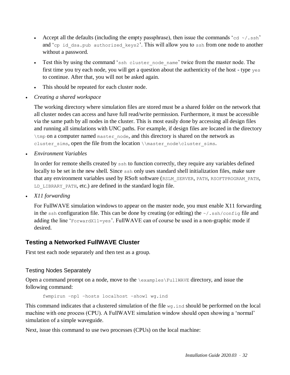- Accept all the defaults (including the empty passphrase), then issue the commands 'cd  $\sim$ /.ssh' and 'cp id dsa.pub authorized keys2'. This will allow you to ssh from one node to another without a password.
- Test this by using the command 'ssh cluster node name' twice from the master node. The first time you try each node, you will get a question about the authenticity of the host - type yes to continue. After that, you will not be asked again.
- This should be repeated for each cluster node.
- *Creating a shared workspace*

The working directory where simulation files are stored must be a shared folder on the network that all cluster nodes can access and have full read/write permission. Furthermore, it must be accessible via the same path by all nodes in the cluster. This is most easily done by accessing all design files and running all simulations with UNC paths. For example, if design files are located in the directory \tmp on a computer named master\_node, and this directory is shared on the network as cluster sims, open the file from the location  $\max\{c\text{ sims.}\}$ 

*Environment Variables*

In order for remote shells created by ssh to function correctly, they require any variables defined locally to be set in the new shell. Since ssh only uses standard shell initialization files, make sure that any environment variables used by RSoft software (RSLM\_SERVER, PATH, RSOFTPROGRAM\_PATH, LD LIBRARY PATH, etc.) are defined in the standard login file.

*X11 forwarding*

For FullWAVE simulation windows to appear on the master node, you must enable X11 forwarding in the ssh configuration file. This can be done by creating (or editing) the  $\sim/$ . ssh/config file and adding the line 'ForwardX11=yes'. FullWAVE can of course be used in a non-graphic mode if desired.

### **Testing a Networked FullWAVE Cluster**

First test each node separately and then test as a group.

#### Testing Nodes Separately

Open a command prompt on a node, move to the \examples\FullWAVE directory, and issue the following command:

fwmpirun –np1 –hosts localhost –show1 wg.ind

This command indicates that a clustered simulation of the file  $wq$ , ind should be performed on the local machine with one process (CPU). A FullWAVE simulation window should open showing a 'normal' simulation of a simple waveguide.

Next, issue this command to use two processes (CPUs) on the local machine: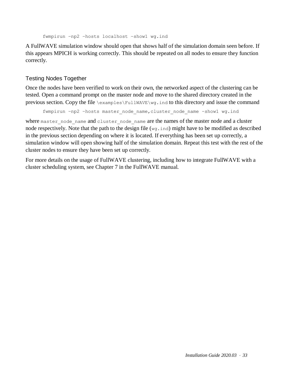```
fwmpirun –np2 –hosts localhost –show1 wg.ind
```
A FullWAVE simulation window should open that shows half of the simulation domain seen before. If this appears MPICH is working correctly. This should be repeated on all nodes to ensure they function correctly.

#### Testing Nodes Together

Once the nodes have been verified to work on their own, the networked aspect of the clustering can be tested. Open a command prompt on the master node and move to the shared directory created in the previous section. Copy the file  $\text{explessFullwave}\$ , ind to this directory and issue the command

```
fwmpirun –np2 –hosts master_node_name,cluster_node_name –show1 wg.ind
```
where master node name and cluster node name are the names of the master node and a cluster node respectively. Note that the path to the design file (wg.ind) might have to be modified as described in the previous section depending on where it is located. If everything has been set up correctly, a simulation window will open showing half of the simulation domain. Repeat this test with the rest of the cluster nodes to ensure they have been set up correctly.

For more details on the usage of FullWAVE clustering, including how to integrate FullWAVE with a cluster scheduling system, see Chapter 7 in the FullWAVE manual.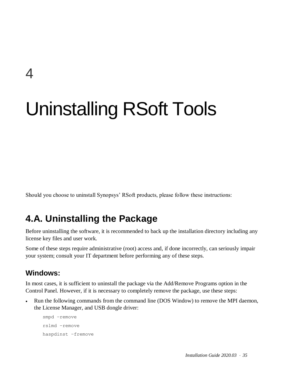# Uninstalling RSoft Tools

Should you choose to uninstall Synopsys' RSoft products, please follow these instructions:

# **4.A. Uninstalling the Package**

Before uninstalling the software, it is recommended to back up the installation directory including any license key files and user work.

Some of these steps require administrative (root) access and, if done incorrectly, can seriously impair your system; consult your IT department before performing any of these steps.

## **Windows:**

4

In most cases, it is sufficient to uninstall the package via the Add/Remove Programs option in the Control Panel. However, if it is necessary to completely remove the package, use these steps:

 Run the following commands from the command line (DOS Window) to remove the MPI daemon, the License Manager, and USB dongle driver:

smpd –remove rslmd –remove haspdinst –fremove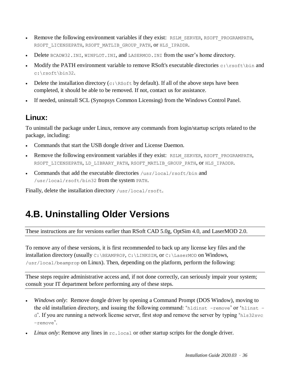- Remove the following environment variables if they exist: RSLM\_SERVER, RSOFT\_PROGRAMPATH, RSOFT\_LICENSEPATH, RSOFT\_MATLIB\_GROUP\_PATH, OT HLS\_IPADDR.
- Delete BCADW32.INI, WINPLOT.INI, and LASERMOD.INI from the user's home directory.
- Modify the PATH environment variable to remove RSoft's executable directories c: \rsoft\bin and c:\rsoft\bin32.
- Delete the installation directory ( $c: \R$ soft by default). If all of the above steps have been completed, it should be able to be removed. If not, contact us for assistance.
- If needed, uninstall SCL (Synopsys Common Licensing) from the Windows Control Panel.

# **Linux:**

To uninstall the package under Linux, remove any commands from login/startup scripts related to the package, including:

- Commands that start the USB dongle driver and License Daemon.
- Remove the following environment variables if they exist: RSLM\_SERVER, RSOFT\_PROGRAMPATH, RSOFT\_LICENSEPATH, LD\_LIBRARY\_PATH, RSOFT\_MATLIB\_GROUP\_PATH, OT HLS\_IPADDR.
- Commands that add the executable directories  $\sqrt{\frac{2\pi}{100}}$  rsoft/bin and /usr/local/rsoft/bin32 from the system PATH.

Finally, delete the installation directory /usr/local/rsoft.

# **4.B. Uninstalling Older Versions**

These instructions are for versions earlier than RSoft CAD 5.0g, OptSim 4.0, and LaserMOD 2.0.

To remove any of these versions, it is first recommended to back up any license key files and the installation directory (usually C:\BEAMPROP, C:\LINKSIM, or C:\LaserMOD on Windows, /usr/local/beamprop on Linux). Then, depending on the platform, perform the following:

These steps require administrative access and, if not done correctly, can seriously impair your system; consult your IT department before performing any of these steps.

- *Windows only*: Remove dongle driver by opening a Command Prompt (DOS Window), moving to the old installation directory, and issuing the following command: 'hldinst –remove' or 'hlinst – d'. If you are running a network license server, first stop and remove the server by typing 'hls32svc –remove'.
- *Linux only:* Remove any lines in  $rc$ . local or other startup scripts for the dongle driver.